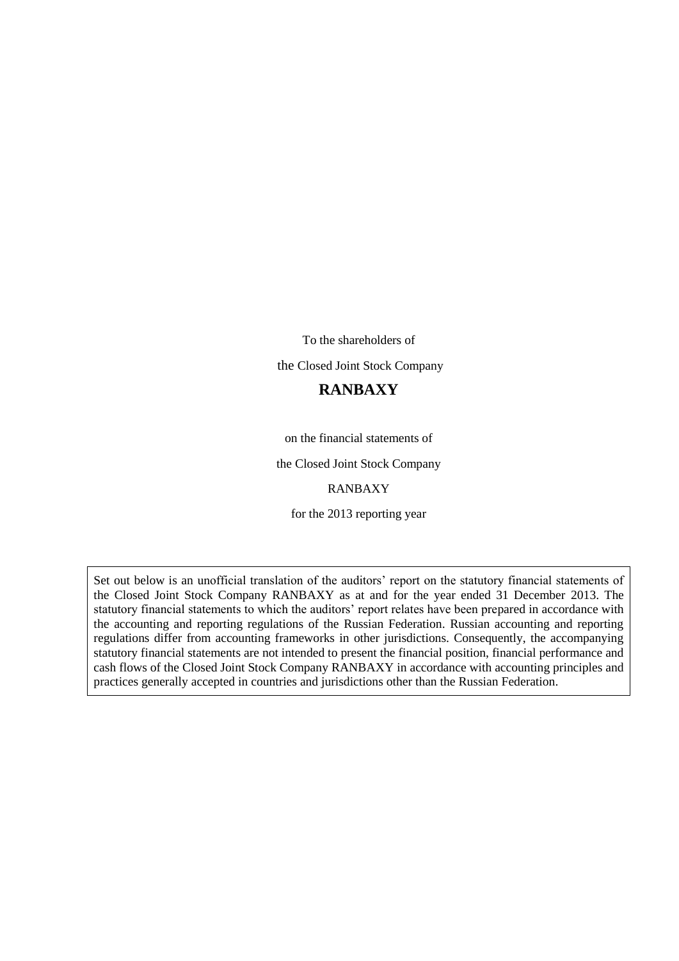To the shareholders of the Closed Joint Stock Company

### **RANBAXY**

on the financial statements of

the Closed Joint Stock Company

RANBAXY

for the 2013 reporting year

Set out below is an unofficial translation of the auditors' report on the statutory financial statements of the Closed Joint Stock Company RANBAXY as at and for the year ended 31 December 2013. The statutory financial statements to which the auditors' report relates have been prepared in accordance with the accounting and reporting regulations of the Russian Federation. Russian accounting and reporting regulations differ from accounting frameworks in other jurisdictions. Consequently, the accompanying statutory financial statements are not intended to present the financial position, financial performance and cash flows of the Closed Joint Stock Company RANBAXY in accordance with accounting principles and practices generally accepted in countries and jurisdictions other than the Russian Federation.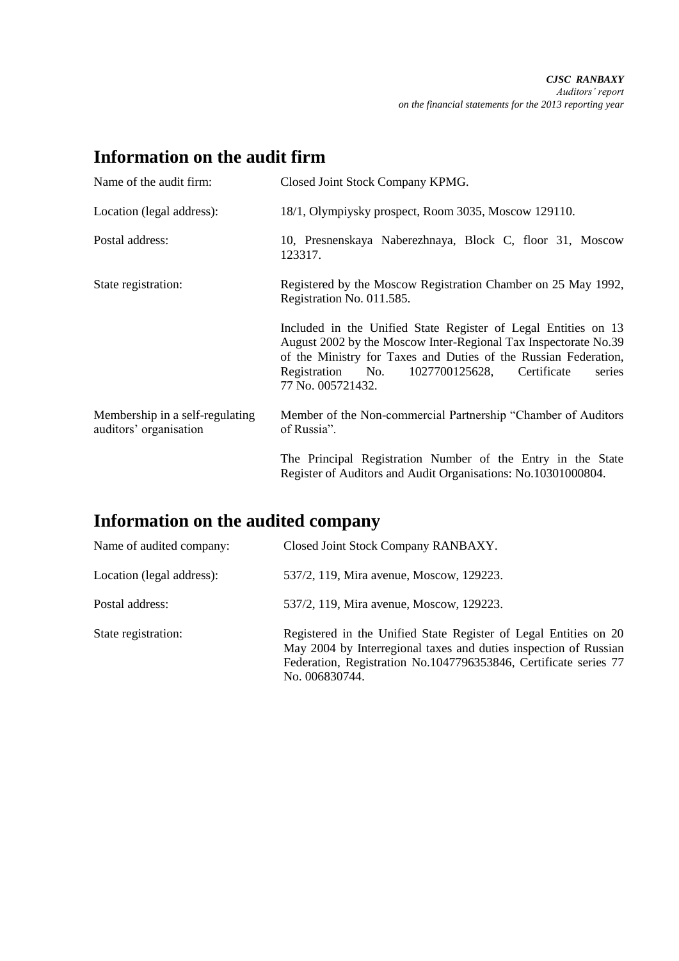## **Information on the audit firm**

| Name of the audit firm:                                   | Closed Joint Stock Company KPMG.                                                                                                                                                                                                                                                      |
|-----------------------------------------------------------|---------------------------------------------------------------------------------------------------------------------------------------------------------------------------------------------------------------------------------------------------------------------------------------|
| Location (legal address):                                 | 18/1, Olympiysky prospect, Room 3035, Moscow 129110.                                                                                                                                                                                                                                  |
| Postal address:                                           | 10, Presnenskaya Naberezhnaya, Block C, floor 31, Moscow<br>123317.                                                                                                                                                                                                                   |
| State registration:                                       | Registered by the Moscow Registration Chamber on 25 May 1992,<br>Registration No. 011.585.                                                                                                                                                                                            |
|                                                           | Included in the Unified State Register of Legal Entities on 13<br>August 2002 by the Moscow Inter-Regional Tax Inspectorate No.39<br>of the Ministry for Taxes and Duties of the Russian Federation,<br>1027700125628, Certificate<br>Registration No.<br>series<br>77 No. 005721432. |
| Membership in a self-regulating<br>auditors' organisation | Member of the Non-commercial Partnership "Chamber of Auditors"<br>of Russia".                                                                                                                                                                                                         |
|                                                           | The Principal Registration Number of the Entry in the State<br>Register of Auditors and Audit Organisations: No.10301000804.                                                                                                                                                          |

# **Information on the audited company**

| Name of audited company:  | Closed Joint Stock Company RANBAXY.                                                                                                                                                                                        |
|---------------------------|----------------------------------------------------------------------------------------------------------------------------------------------------------------------------------------------------------------------------|
| Location (legal address): | 537/2, 119, Mira avenue, Moscow, 129223.                                                                                                                                                                                   |
| Postal address:           | 537/2, 119, Mira avenue, Moscow, 129223.                                                                                                                                                                                   |
| State registration:       | Registered in the Unified State Register of Legal Entities on 20<br>May 2004 by Interregional taxes and duties inspection of Russian<br>Federation, Registration No.1047796353846, Certificate series 77<br>No. 006830744. |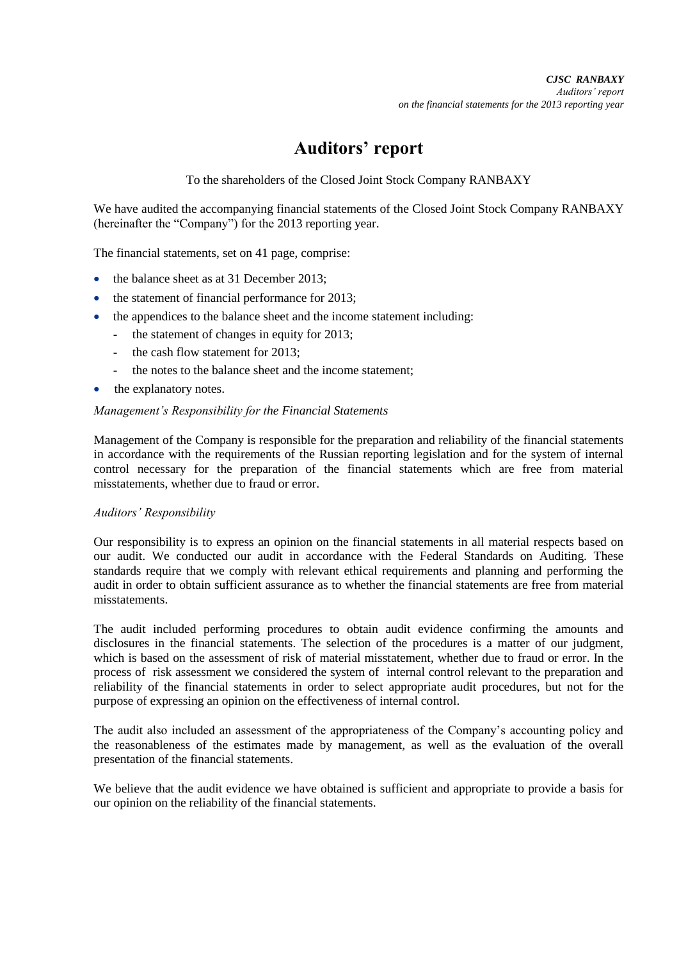### **Auditors' report**

To the shareholders of the Closed Joint Stock Company RANBAXY

We have audited the accompanying financial statements of the Closed Joint Stock Company RANBAXY (hereinafter the "Company") for the 2013 reporting year.

The financial statements, set on 41 page, comprise:

- the balance sheet as at 31 December 2013;
- the statement of financial performance for 2013;
	- the appendices to the balance sheet and the income statement including:
		- the statement of changes in equity for 2013;
		- the cash flow statement for 2013;
		- the notes to the balance sheet and the income statement;
- the explanatory notes.

#### *Management's Responsibility for the Financial Statements*

Management of the Company is responsible for the preparation and reliability of the financial statements in accordance with the requirements of the Russian reporting legislation and for the system of internal control necessary for the preparation of the financial statements which are free from material misstatements, whether due to fraud or error.

#### *Auditors' Responsibility*

Our responsibility is to express an opinion on the financial statements in all material respects based on our audit. We conducted our audit in accordance with the Federal Standards on Auditing. These standards require that we comply with relevant ethical requirements and planning and performing the audit in order to obtain sufficient assurance as to whether the financial statements are free from material misstatements.

The audit included performing procedures to obtain audit evidence confirming the amounts and disclosures in the financial statements. The selection of the procedures is a matter of our judgment, which is based on the assessment of risk of material misstatement, whether due to fraud or error. In the process of risk assessment we considered the system of internal control relevant to the preparation and reliability of the financial statements in order to select appropriate audit procedures, but not for the purpose of expressing an opinion on the effectiveness of internal control.

The audit also included an assessment of the appropriateness of the Company's accounting policy and the reasonableness of the estimates made by management, as well as the evaluation of the overall presentation of the financial statements.

We believe that the audit evidence we have obtained is sufficient and appropriate to provide a basis for our opinion on the reliability of the financial statements.